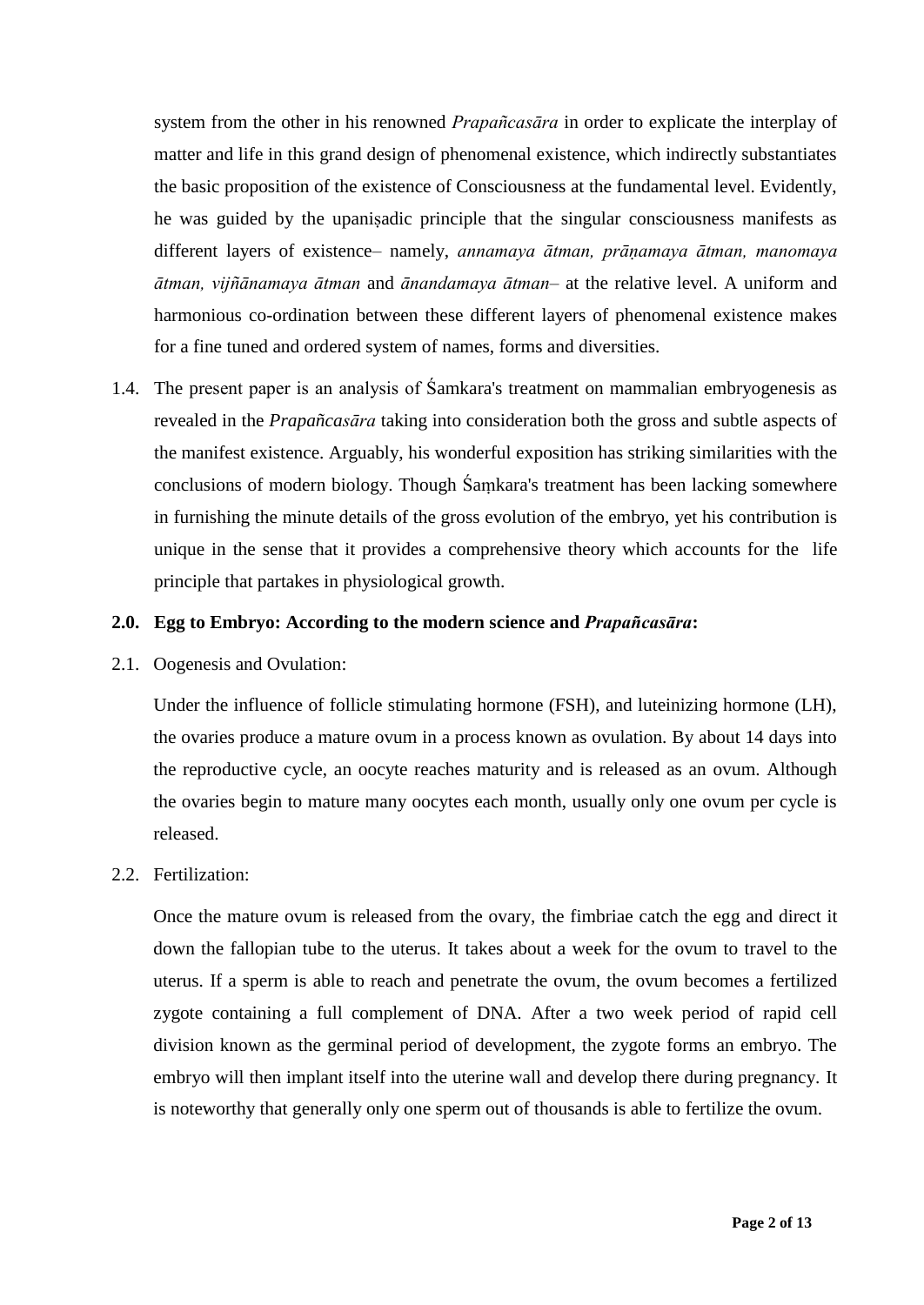system from the other in his renowned *Prapañcasāra* in order to explicate the interplay of matter and life in this grand design of phenomenal existence, which indirectly substantiates the basic proposition of the existence of Consciousness at the fundamental level. Evidently, he was guided by the upaniṣadic principle that the singular consciousness manifests as different layers of existence– namely, *annamaya ātman, prāṇamaya ātman, manomaya ātman, vijñānamaya ātman* and *ānandamaya ātman*– at the relative level. A uniform and harmonious co-ordination between these different layers of phenomenal existence makes for a fine tuned and ordered system of names, forms and diversities.

1.4. The present paper is an analysis of Śamkara's treatment on mammalian embryogenesis as revealed in the *Prapañcasāra* taking into consideration both the gross and subtle aspects of the manifest existence. Arguably, his wonderful exposition has striking similarities with the conclusions of modern biology. Though Śaṃkara's treatment has been lacking somewhere in furnishing the minute details of the gross evolution of the embryo, yet his contribution is unique in the sense that it provides a comprehensive theory which accounts for the life principle that partakes in physiological growth.

### **2.0. Egg to Embryo: According to the modern science and** *Prapañcasāra***:**

#### 2.1. Oogenesis and Ovulation:

Under the influence of follicle stimulating hormone (FSH), and luteinizing hormone (LH), the ovaries produce a mature ovum in a process known as ovulation. By about 14 days into the reproductive cycle, an oocyte reaches maturity and is released as an ovum. Although the ovaries begin to mature many oocytes each month, usually only one ovum per cycle is released.

### 2.2. Fertilization:

Once the mature ovum is released from the ovary, the fimbriae catch the egg and direct it down the fallopian tube to the uterus. It takes about a week for the ovum to travel to the uterus. If a sperm is able to reach and penetrate the ovum, the ovum becomes a fertilized zygote containing a full complement of DNA. After a two week period of rapid cell division known as the germinal period of development, the zygote forms an embryo. The embryo will then implant itself into the uterine wall and develop there during pregnancy. It is noteworthy that generally only one sperm out of thousands is able to fertilize the ovum.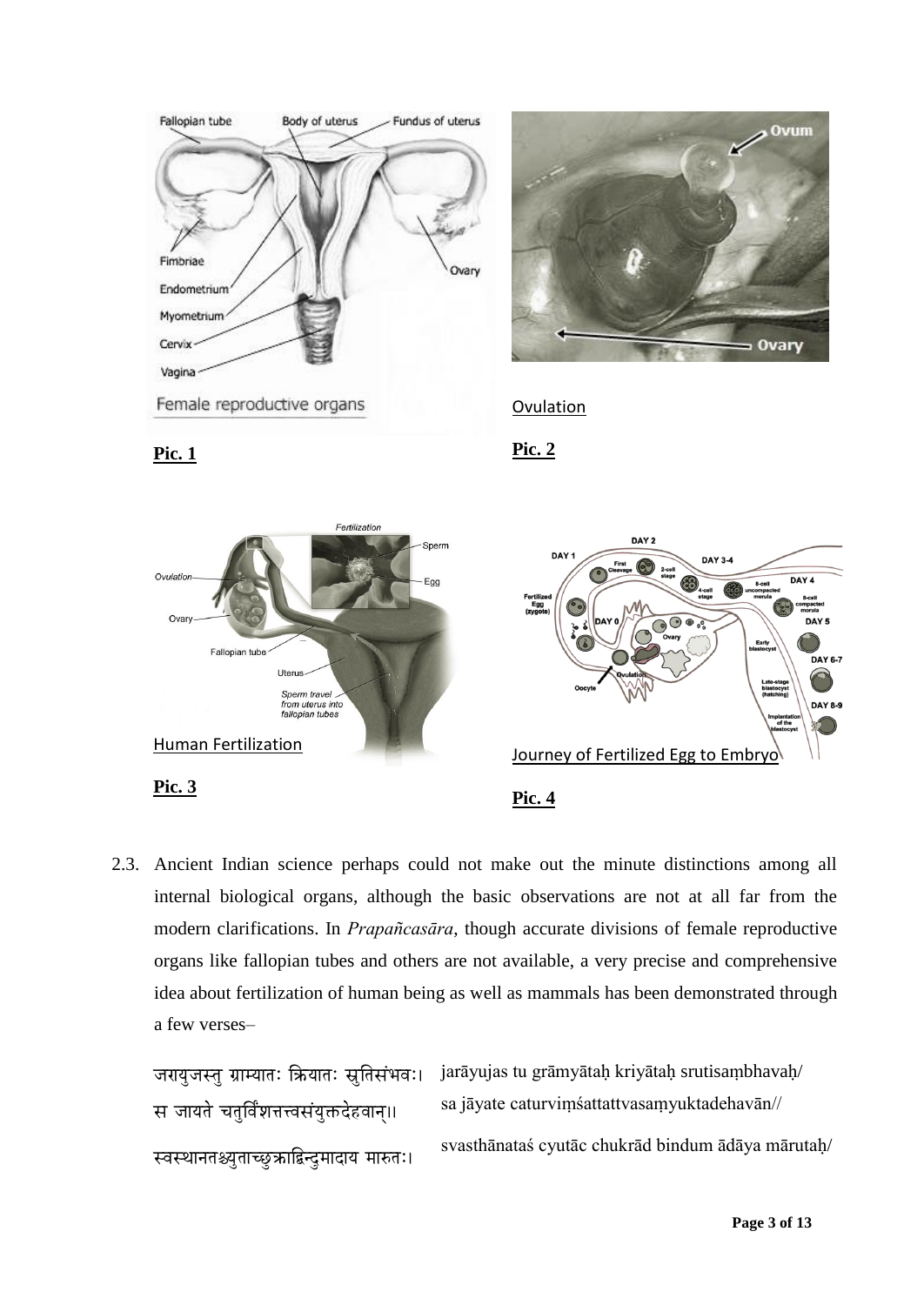

2.3. Ancient Indian science perhaps could not make out the minute distinctions among all internal biological organs, although the basic observations are not at all far from the modern clarifications. In *Prapañcasāra*, though accurate divisions of female reproductive organs like fallopian tubes and others are not available, a very precise and comprehensive idea about fertilization of human being as well as mammals has been demonstrated through a few verses–

|                                                | जरायुजस्तु ग्राम्यातः क्रियातः स्रुतिसंभवः। jarāyujas tu grāmyātaḥ kriyātaḥ srutisaṃbhavaḥ/ |
|------------------------------------------------|---------------------------------------------------------------------------------------------|
| स जायते चतुर्विंशत्तत्वसंयुक्तदेहवान्॥         | sa jāyate caturvims attattvas amyuktade havān//                                             |
| स्वस्थानतश्च्युताच्छुक्राद्बिन्दुमादाय मारुतः। | svasthānatas cyutāc chukrād bindum ādāya mārutah/                                           |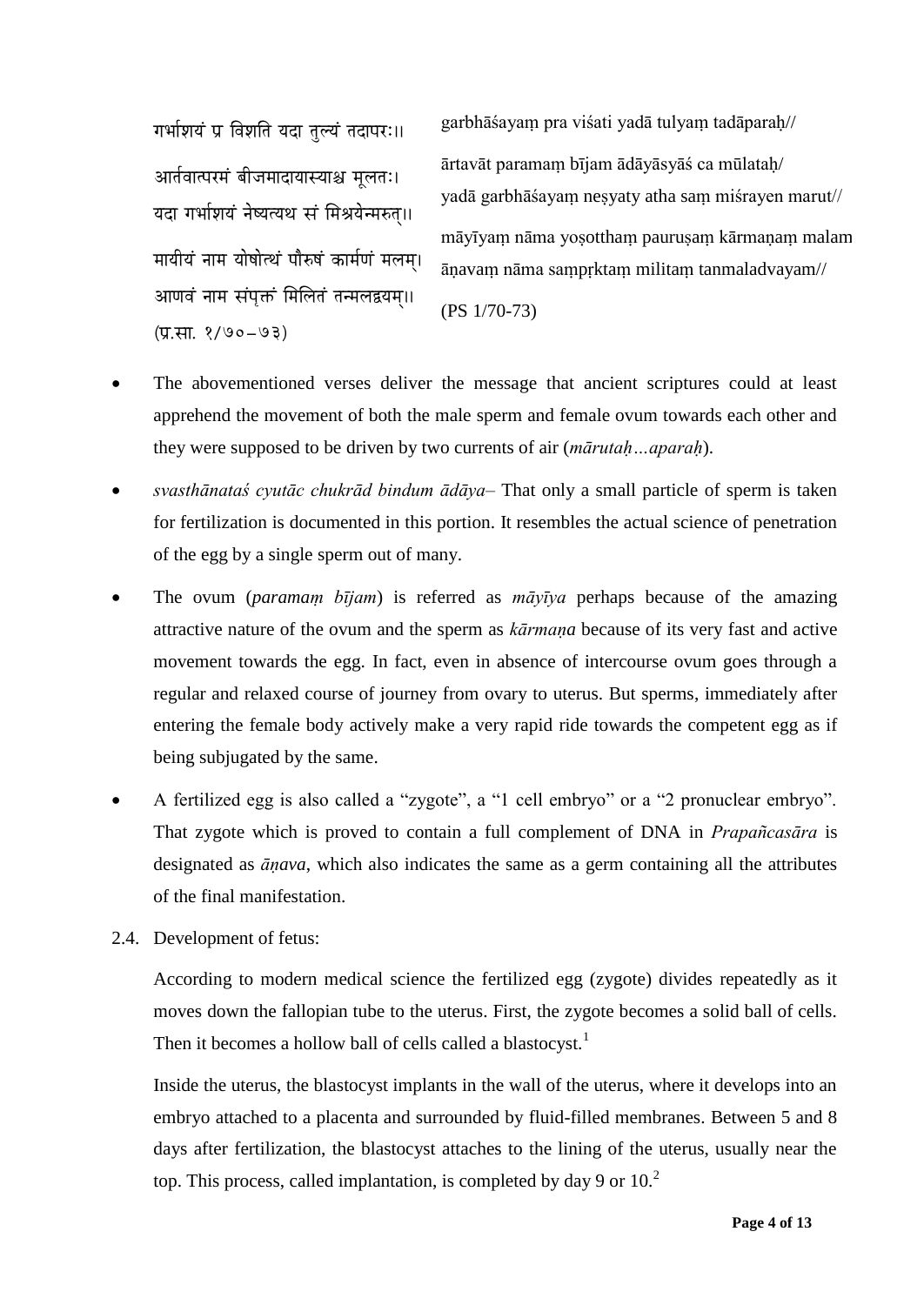गर्भाशयं प्र विशति यदा तल्यं तदापरः।। आर्तवात्परमं बीजमादायास्याश्च मुलतः। यदा गर्भाशयं नेष्यत्यथ सं मिश्रयेन्मरुत॥ मायीयं नाम योषोत्थं पौरुषं कार्मणं मलम। आणवं नाम संपुक्तं मिलितं तन्मलद्वयम॥  $(T, H, 8/90-93)$ 

garbhāśayaṃ pra viśati yadā tulyaṃ tadāparaḥ// ārtavāt paramaṃ bījam ādāyāsyāś ca mūlataḥ/ yadā garbhāśayaṃ neṣyaty atha saṃ miśrayen marut// māyīyam nāma yosottham paurusam kārmanam malam āṇavaṃ nāma saṃpṛktaṃ militaṃ tanmaladvayam// (PS 1/70-73)

- The abovementioned verses deliver the message that ancient scriptures could at least apprehend the movement of both the male sperm and female ovum towards each other and they were supposed to be driven by two currents of air (*mārutaḥ…aparaḥ*).
- *svasthānataś cyutāc chukrād bindum ādāya* That only a small particle of sperm is taken for fertilization is documented in this portion. It resembles the actual science of penetration of the egg by a single sperm out of many.
- The ovum (*paramaṃ bījam*) is referred as *māyīya* perhaps because of the amazing attractive nature of the ovum and the sperm as *kārmaṇa* because of its very fast and active movement towards the egg. In fact, even in absence of intercourse ovum goes through a regular and relaxed course of journey from ovary to uterus. But sperms, immediately after entering the female body actively make a very rapid ride towards the competent egg as if being subjugated by the same.
- A fertilized egg is also called a "zygote", a "1 cell embryo" or a "2 pronuclear embryo". That zygote which is proved to contain a full complement of DNA in *Prapañcasāra* is designated as *āṇava*, which also indicates the same as a germ containing all the attributes of the final manifestation.
- 2.4. Development of fetus:

According to modern medical science the fertilized egg (zygote) divides repeatedly as it moves down the fallopian tube to the uterus. First, the zygote becomes a solid ball of cells. Then it becomes a hollow ball of cells called a blastocyst.<sup>1</sup>

Inside the uterus, the blastocyst implants in the wall of the uterus, where it develops into an embryo attached to a placenta and surrounded by fluid-filled membranes. Between 5 and 8 days after fertilization, the blastocyst attaches to the lining of the uterus, usually near the top. This process, called implantation, is completed by day 9 or  $10<sup>2</sup>$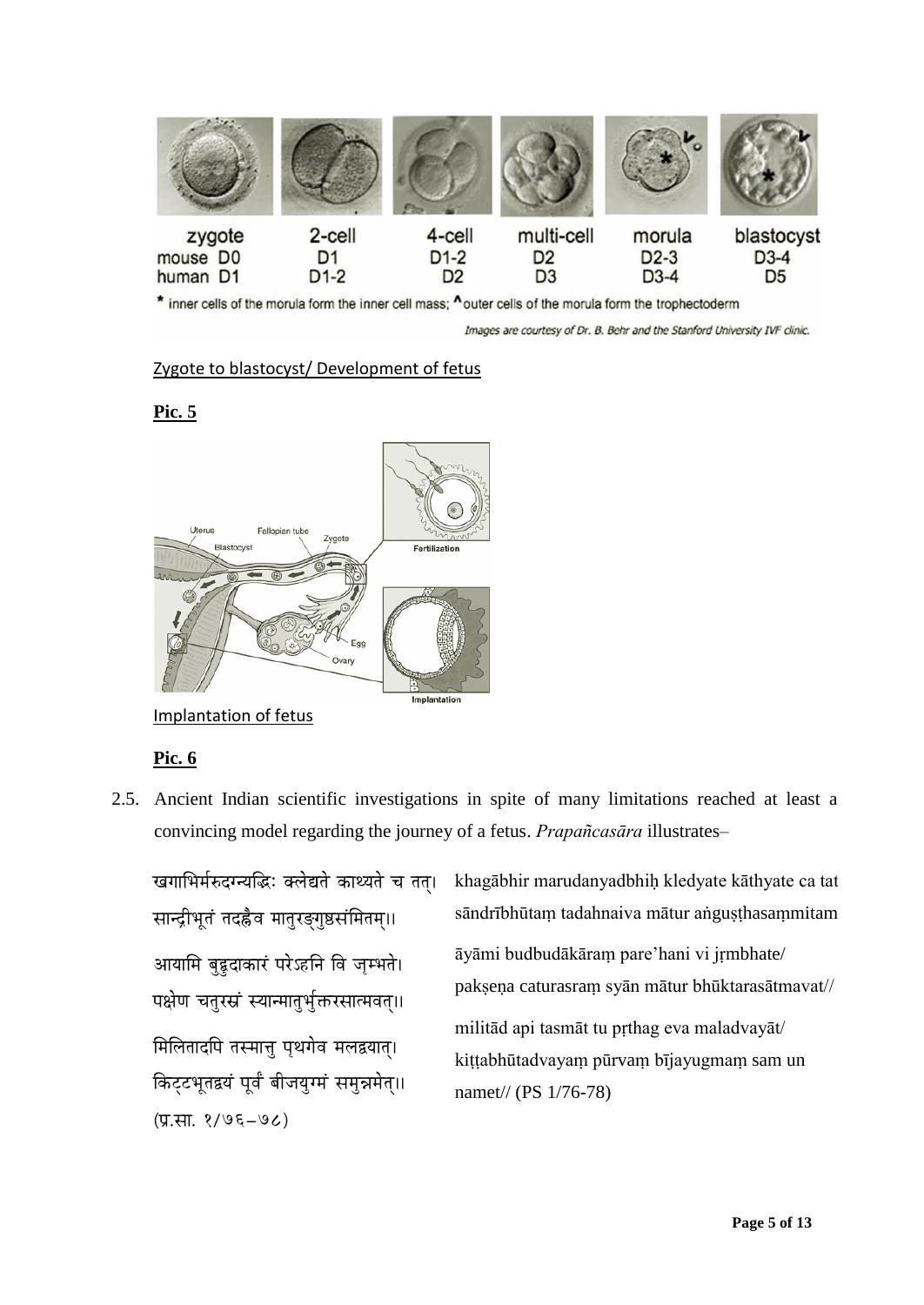

\* inner cells of the morula form the inner cell mass; ^outer cells of the morula form the trophectoderm

Images are courtesy of Dr. B. Behr and the Stanford University IVF clinic.

### Zygote to blastocyst/ Development of fetus

**Pic. 5**



Implantation of fetus

### **Pic. 6**

2.5. Ancient Indian scientific investigations in spite of many limitations reached at least a convincing model regarding the journey of a fetus. *Prapañcasāra* illustrates–

खगाभिर्मरुदग्न्यद्धिः क्लेद्यते काथ्यते च तत। सान्द्रीभूतं तदह्रैव मातुरङ्गुष्ठसंमितम्।। आयामि बृहृदाकारं परेऽहनि वि जम्भते। पक्षेण चतुरस्रं स्यान्मातुर्भुक्तरसात्मवत्॥ **मिलितादपि तस्मात्त पथगेव मलद्वयात।** किट्टभूतद्वयं पूर्वं बीजयुग्मं समुन्नमेत्॥ (प्र.सा. १/७६–७८)

khagābhir marudanyadbhiḥ kledyate kāthyate ca tat/ sāndrībhūtaṃ tadahnaiva mātur aṅguṣṭhasaṃmitam// āyāmi budbudākāraṃ pare"hani vi jṛmbhate/ pakṣeṇa caturasraṃ syān mātur bhūktarasātmavat// militād api tasmāt tu pṛthag eva maladvayāt/ kiṭṭabhūtadvayaṃ pūrvaṃ bījayugmaṃ sam un namet// (PS 1/76-78)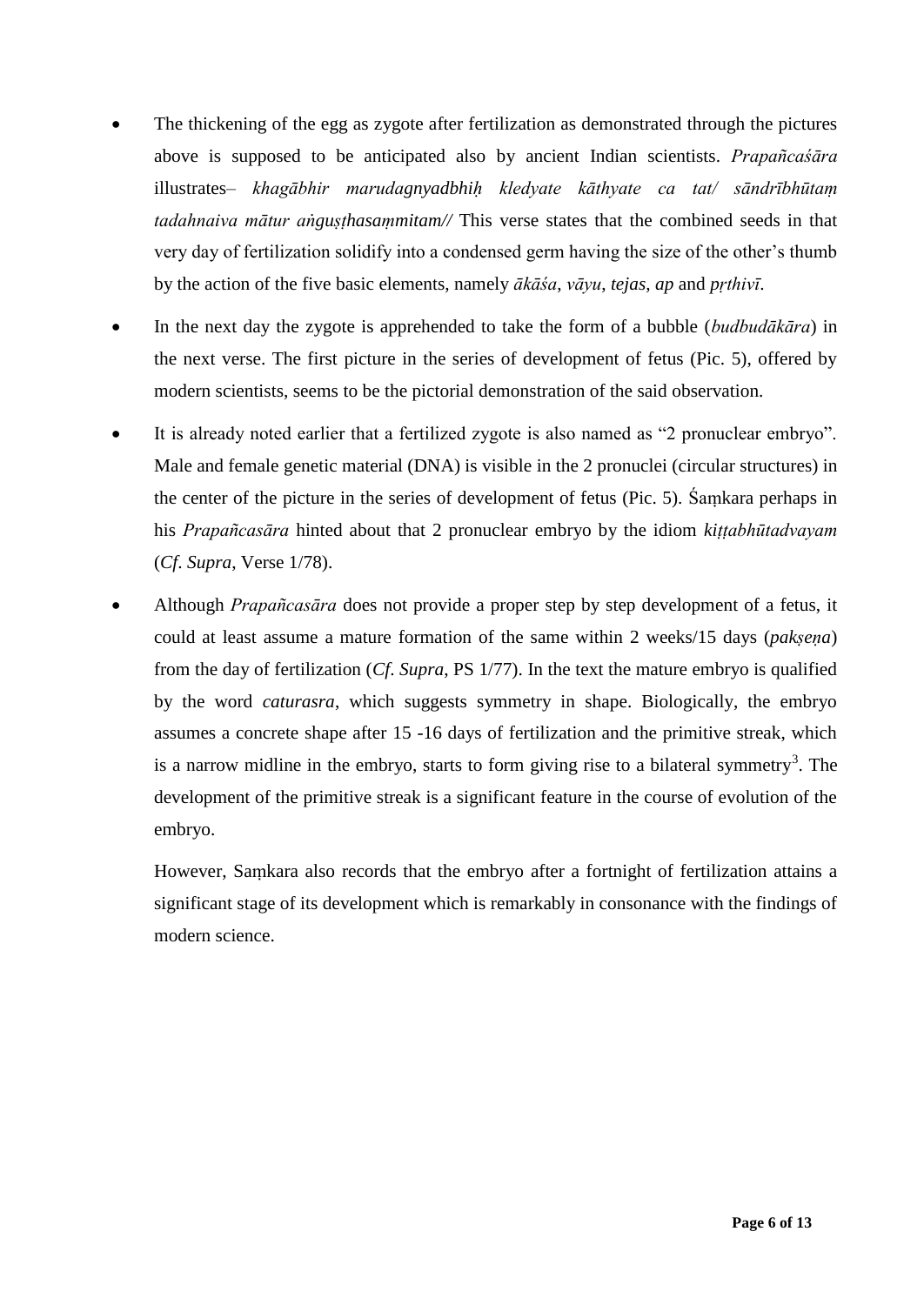- The thickening of the egg as zygote after fertilization as demonstrated through the pictures above is supposed to be anticipated also by ancient Indian scientists. *Prapañcaśāra* illustrates– *khagābhir marudagnyadbhiḥ kledyate kāthyate ca tat/ sāndrībhūtaṃ tadahnaiva mātur aṅguṣṭhasaṃmitam//* This verse states that the combined seeds in that very day of fertilization solidify into a condensed germ having the size of the other"s thumb by the action of the five basic elements, namely *ākāśa*, *vāyu*, *tejas*, *ap* and *pṛthivī*.
- In the next day the zygote is apprehended to take the form of a bubble (*budbudākāra*) in the next verse. The first picture in the series of development of fetus (Pic. 5), offered by modern scientists, seems to be the pictorial demonstration of the said observation.
- It is already noted earlier that a fertilized zygote is also named as "2 pronuclear embryo". Male and female genetic material (DNA) is visible in the 2 pronuclei (circular structures) in the center of the picture in the series of development of fetus (Pic. 5). Śaṃkara perhaps in his *Prapañcasāra* hinted about that 2 pronuclear embryo by the idiom *kiṭṭabhūtadvayam* (*Cf*. *Supra*, Verse 1/78).
- Although *Prapañcasāra* does not provide a proper step by step development of a fetus, it could at least assume a mature formation of the same within 2 weeks/15 days (*pakṣeṇa*) from the day of fertilization (*Cf*. *Supra*, PS 1/77). In the text the mature embryo is qualified by the word *caturasra*, which suggests symmetry in shape. Biologically, the embryo assumes a concrete shape after 15 -16 days of fertilization and the primitive streak, which is a narrow midline in the embryo, starts to form giving rise to a bilateral symmetry<sup>3</sup>. The development of the primitive streak is a significant feature in the course of evolution of the embryo.

However, Saṃkara also records that the embryo after a fortnight of fertilization attains a significant stage of its development which is remarkably in consonance with the findings of modern science.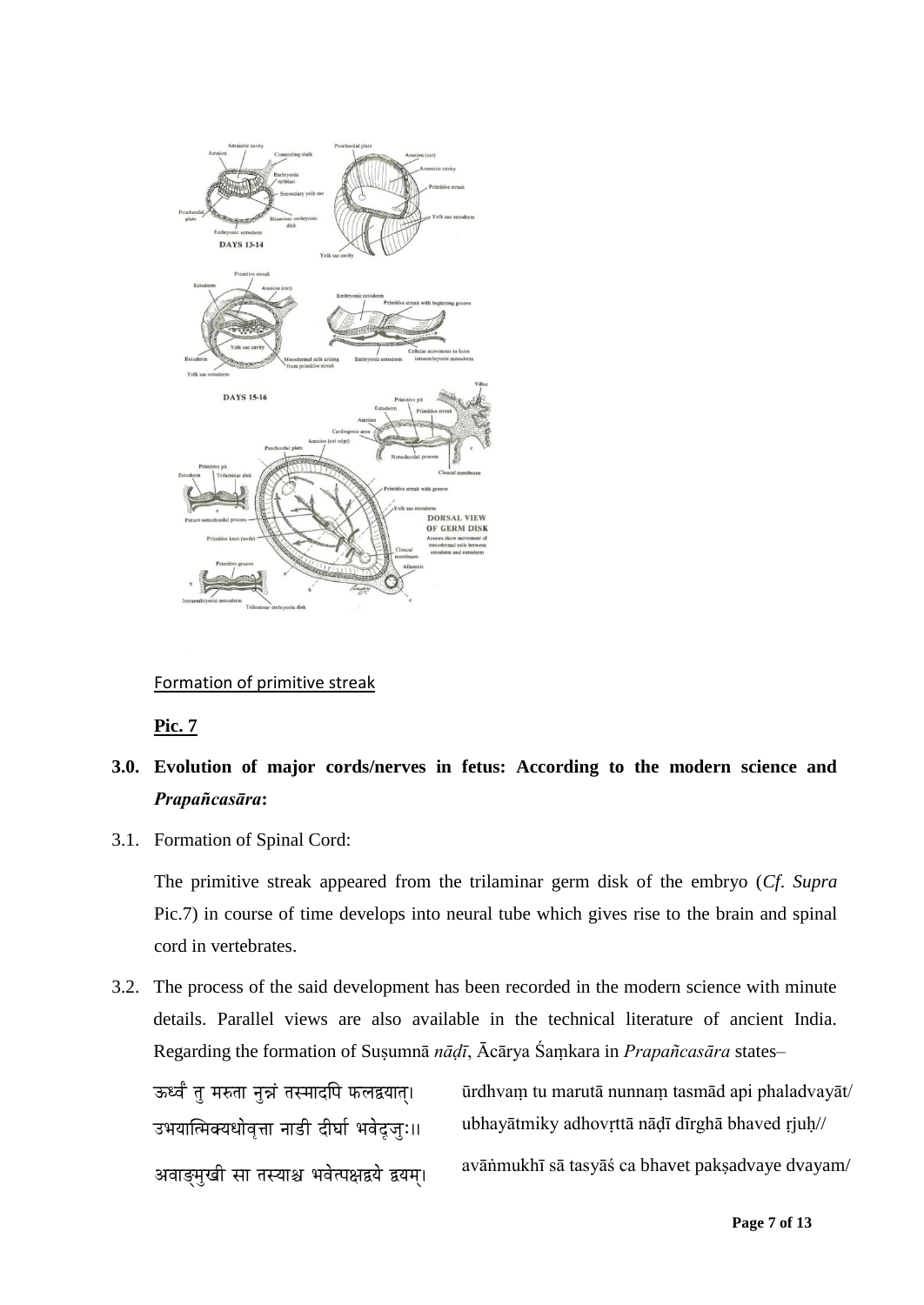

### Formation of primitive streak

**Pic. 7**

# **3.0. Evolution of major cords/nerves in fetus: According to the modern science and**  *Prapañcasāra***:**

3.1. Formation of Spinal Cord:

The primitive streak appeared from the trilaminar germ disk of the embryo (*Cf*. *Supra* Pic.7) in course of time develops into neural tube which gives rise to the brain and spinal cord in vertebrates.

3.2. The process of the said development has been recorded in the modern science with minute details. Parallel views are also available in the technical literature of ancient India. Regarding the formation of Suṣumnā *nāḍī*, Ācārya Śaṃkara in *Prapañcasāra* states–

ऊर्ध्वं तु मरुता नुन्नं तस्मादपि फलद्वयात्। उभयात्मिक्यधोवृत्ता नाडी दीर्घा भवेदजुः॥ अवाङ्मुखी सा तस्याश्च भवेत्पक्षद्वये द्वयम्।

ūrdhvaṃ tu marutā nunnaṃ tasmād api phaladvayāt/ ubhayātmiky adhovṛttā nāḍī dīrghā bhaved ṛjuḥ// avāṅmukhī sā tasyāś ca bhavet pakṣadvaye dvayam/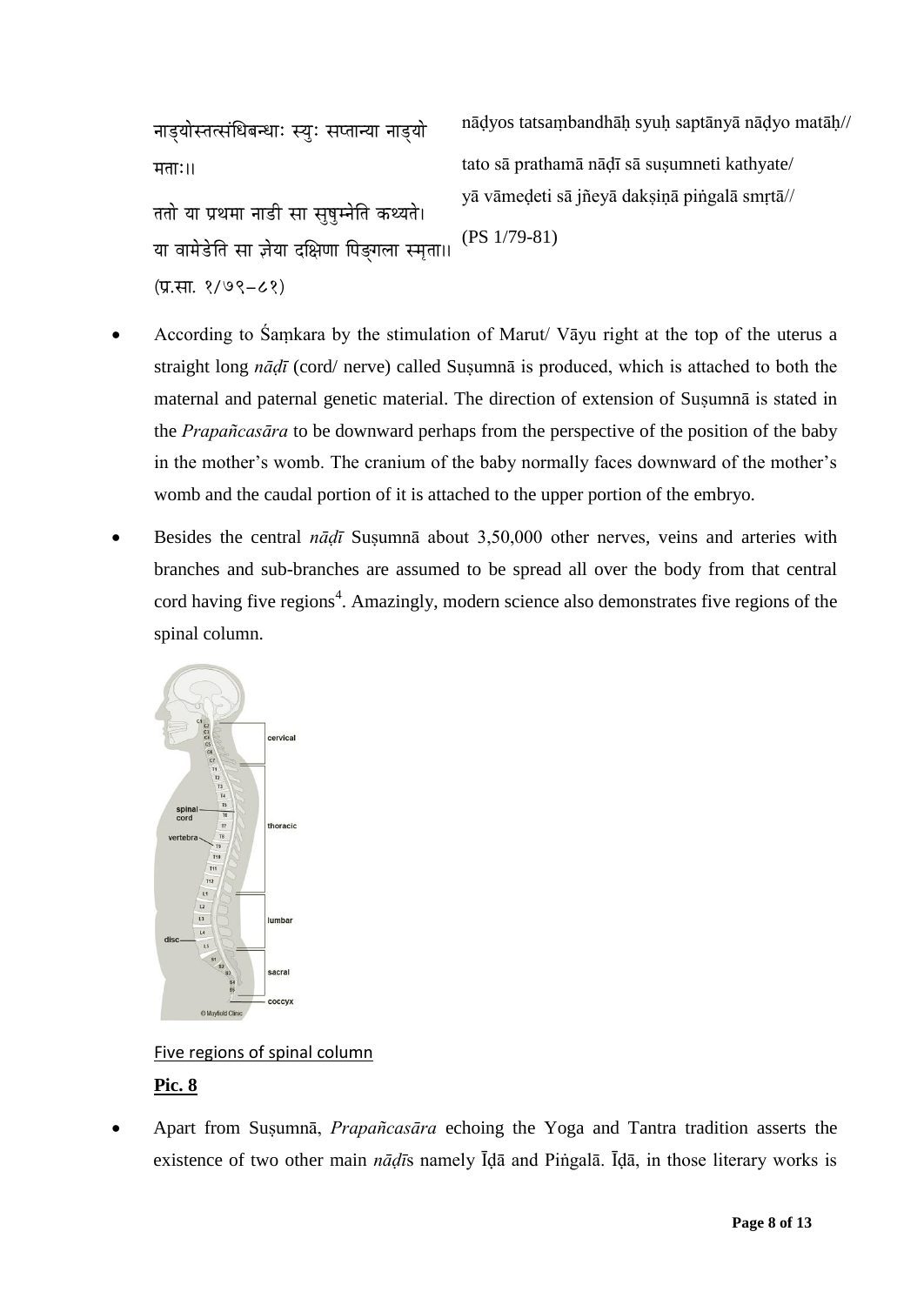नाडुयोस्तत्संधिबन्धाः स्युः सप्तान्या नाडुयो  $\overline{H}$ ताः।। ततो या प्रथमा नाडी सा सषम्नेति कथ्यते। या वामेडेति सा ज़ेया दक्षिणा पिङगला स्मता। (प्र.सा. १/७९-८१)

nāḍyos tatsaṃbandhāḥ syuḥ saptānyā nāḍyo matāḥ// tato sā prathamā nādī sā susumneti kathyate/ yā vāmeḍeti sā jñeyā dakṣiṇā piṅgalā smṛtā// (PS 1/79-81)

- According to Śaṃkara by the stimulation of Marut/ Vāyu right at the top of the uterus a straight long *nādī* (cord/ nerve) called Susumnā is produced, which is attached to both the maternal and paternal genetic material. The direction of extension of Suṣumnā is stated in the *Prapañcasāra* to be downward perhaps from the perspective of the position of the baby in the mother"s womb. The cranium of the baby normally faces downward of the mother"s womb and the caudal portion of it is attached to the upper portion of the embryo.
- Besides the central *nāḍī* Suṣumnā about 3,50,000 other nerves, veins and arteries with branches and sub-branches are assumed to be spread all over the body from that central cord having five regions<sup>4</sup>. Amazingly, modern science also demonstrates five regions of the spinal column.



Five regions of spinal column

### **Pic. 8**

 Apart from Suṣumnā, *Prapañcasāra* echoing the Yoga and Tantra tradition asserts the existence of two other main *nāḍī*s namely Īḍā and Piṅgalā. Īḍā, in those literary works is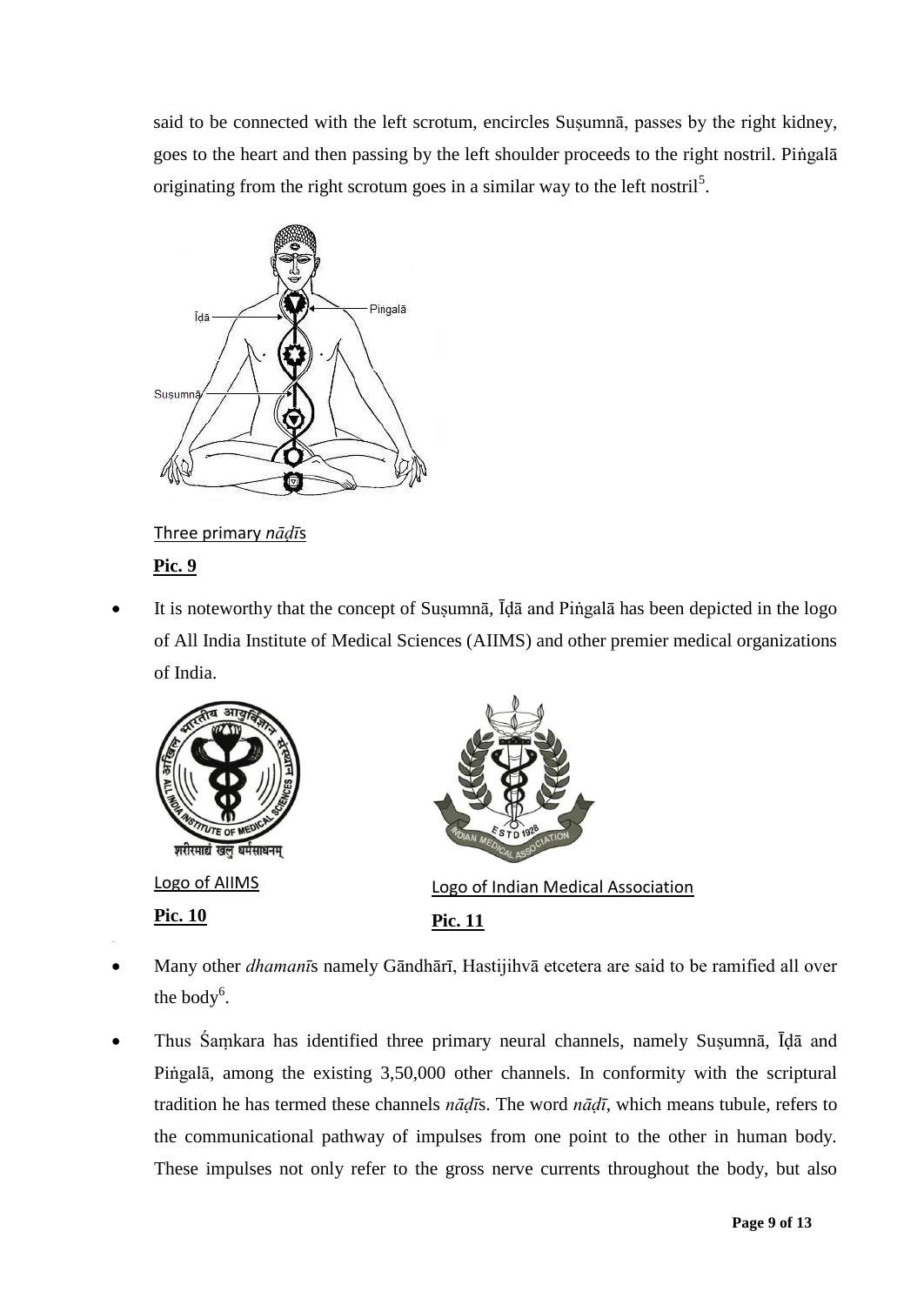said to be connected with the left scrotum, encircles Suṣumnā, passes by the right kidney, goes to the heart and then passing by the left shoulder proceeds to the right nostril. Piṅgalā originating from the right scrotum goes in a similar way to the left nostril<sup>5</sup>.



Three primary *nāḍī*s

### **Pic. 9**

 It is noteworthy that the concept of Suṣumnā*,* Īḍā and Piṅgalā has been depicted in the logo of All India Institute of Medical Sciences (AIIMS) and other premier medical organizations of India.



- Many other *dhamanī*s namely Gāndhārī, Hastijihvā etcetera are said to be ramified all over the body $6$ .
- Thus Śaṃkara has identified three primary neural channels, namely Suṣumnā*,* Īḍā and Piṅgalā*,* among the existing 3,50,000 other channels. In conformity with the scriptural tradition he has termed these channels *nāḍī*s. The word *nāḍī*, which means tubule, refers to the communicational pathway of impulses from one point to the other in human body. These impulses not only refer to the gross nerve currents throughout the body, but also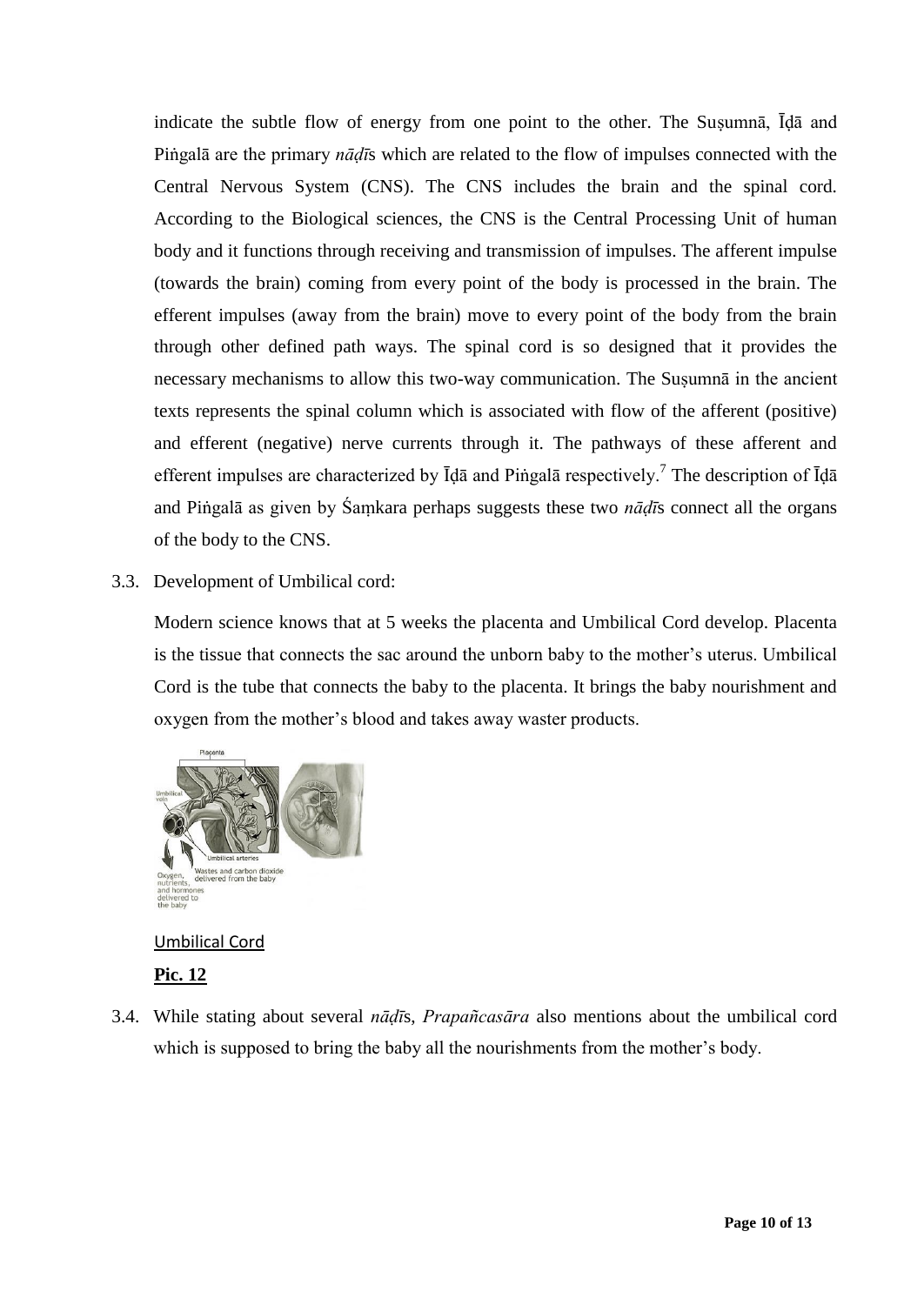indicate the subtle flow of energy from one point to the other. The Suṣumnā, Īḍā and Piṅgalā are the primary *nāḍī*s which are related to the flow of impulses connected with the Central Nervous System (CNS). The CNS includes the brain and the spinal cord. According to the Biological sciences, the CNS is the Central Processing Unit of human body and it functions through receiving and transmission of impulses. The afferent impulse (towards the brain) coming from every point of the body is processed in the brain. The efferent impulses (away from the brain) move to every point of the body from the brain through other defined path ways. The spinal cord is so designed that it provides the necessary mechanisms to allow this two-way communication. The Suṣumnā in the ancient texts represents the spinal column which is associated with flow of the afferent (positive) and efferent (negative) nerve currents through it. The pathways of these afferent and efferent impulses are characterized by *I*da and Pingala respectively.<sup>7</sup> The description of *Ida* and Piṅgalā as given by Śaṃkara perhaps suggests these two *nāḍī*s connect all the organs of the body to the CNS.

3.3. Development of Umbilical cord:

Modern science knows that at 5 weeks the placenta and Umbilical Cord develop. Placenta is the tissue that connects the sac around the unborn baby to the mother"s uterus. Umbilical Cord is the tube that connects the baby to the placenta. It brings the baby nourishment and oxygen from the mother"s blood and takes away waster products.



### Umbilical Cord

**Pic. 12**

3.4. While stating about several *nāḍī*s, *Prapañcasāra* also mentions about the umbilical cord which is supposed to bring the baby all the nourishments from the mother's body.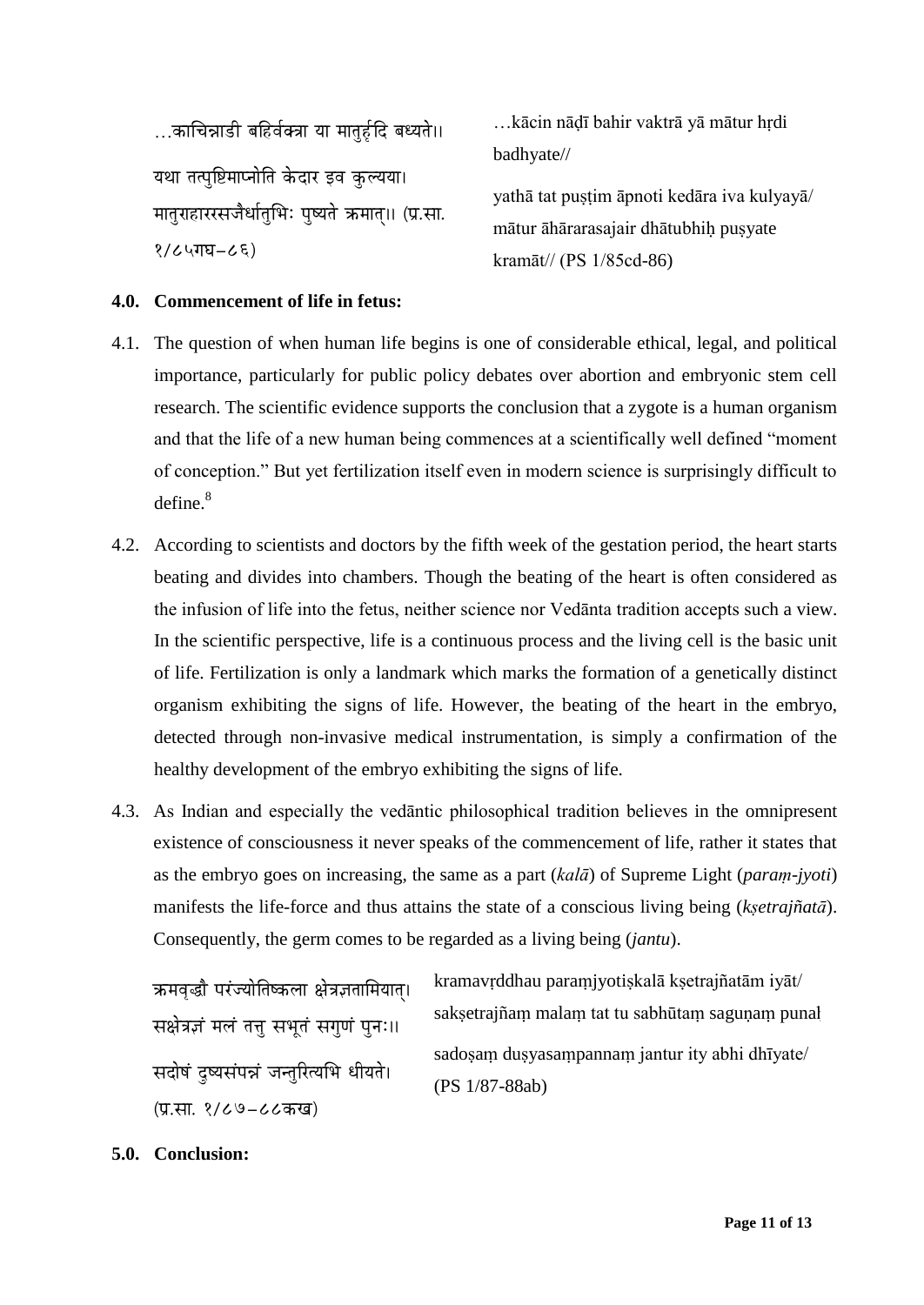$\dots$ काचिन्नाडी बहिर्वक्त्रा या मातुर्हृदि बध्यते।। यथा तत्पृष्टिमाप्नोति केदार इव कुल्यया। मातराहाररसजैर्धातभिः पष्यते ऋमात॥ (प्र.सा.  $8/C$ ५गघ $-C$ ६)

…kācin nāḍī bahir vaktrā yā mātur hṛdi badhyate//

yathā tat pustim āpnoti kedāra iva kulyayā/ mātur āhārarasajair dhātubhih pusyate kramāt// (PS 1/85cd-86)

### **4.0. Commencement of life in fetus:**

- 4.1. The question of when human life begins is one of considerable ethical, legal, and political importance, particularly for public policy debates over abortion and embryonic stem cell research. The scientific evidence supports the conclusion that a zygote is a human organism and that the life of a new human being commences at a scientifically well defined "moment of conception." But yet fertilization itself even in modern science is surprisingly difficult to  $define<sup>8</sup>$
- 4.2. According to scientists and doctors by the fifth week of the gestation period, the heart starts beating and divides into chambers. Though the beating of the heart is often considered as the infusion of life into the fetus, neither science nor Vedānta tradition accepts such a view. In the scientific perspective, life is a continuous process and the living cell is the basic unit of life. Fertilization is only a landmark which marks the formation of a genetically distinct organism exhibiting the signs of life. However, the beating of the heart in the embryo, detected through non-invasive medical instrumentation, is simply a confirmation of the healthy development of the embryo exhibiting the signs of life.
- 4.3. As Indian and especially the vedāntic philosophical tradition believes in the omnipresent existence of consciousness it never speaks of the commencement of life, rather it states that as the embryo goes on increasing, the same as a part (*kalā*) of Supreme Light (*paraṃ-jyoti*) manifests the life-force and thus attains the state of a conscious living being (*kṣetrajñatā*). Consequently, the germ comes to be regarded as a living being (*jantu*).

क्रमवृद्धौ परंज्योतिष्कला क्षेत्रज्ञतामियात्। सक्षेत्रज्ञं मलं तत्त सभृतं सगणं पनः॥ सदोषं दुष्यसंपन्नं जन्तुरित्यभि धीयते। (प्र.सा. १/८७-८८कख)

kramavṛddhau paraṃjyotiṣkalā kṣetrajñatām iyāt/ saksetrajñam malam tat tu sabhūtam sagunam punal sadoṣaṃ duṣyasaṃpannaṃ jantur ity abhi dhīyate/ (PS 1/87-88ab)

**5.0. Conclusion:**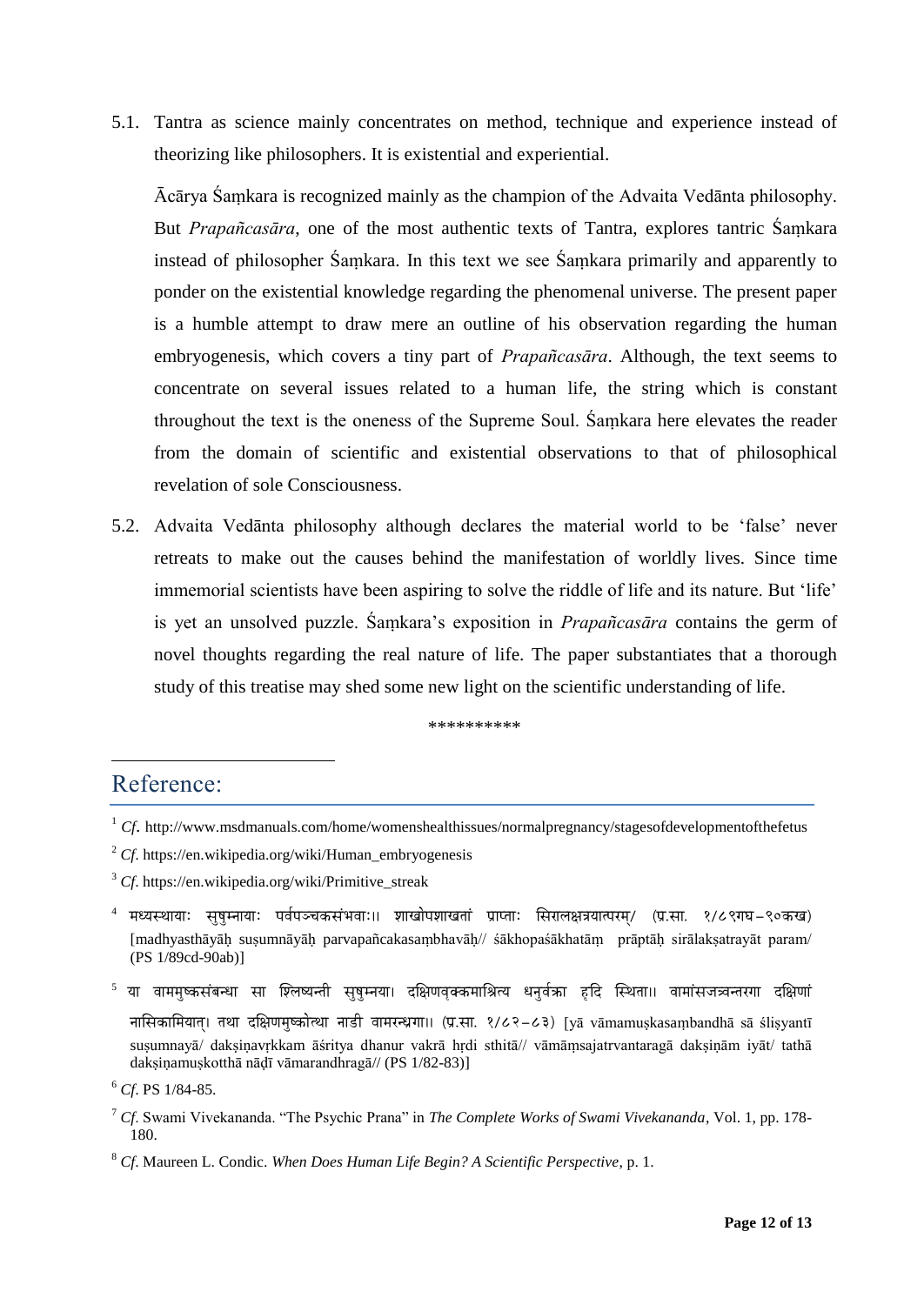5.1. Tantra as science mainly concentrates on method, technique and experience instead of theorizing like philosophers. It is existential and experiential.

Ācārya Śaṃkara is recognized mainly as the champion of the Advaita Vedānta philosophy. But *Prapañcasāra*, one of the most authentic texts of Tantra, explores tantric Śaṃkara instead of philosopher Śaṃkara. In this text we see Śaṃkara primarily and apparently to ponder on the existential knowledge regarding the phenomenal universe. The present paper is a humble attempt to draw mere an outline of his observation regarding the human embryogenesis, which covers a tiny part of *Prapañcasāra*. Although, the text seems to concentrate on several issues related to a human life, the string which is constant throughout the text is the oneness of the Supreme Soul. Śaṃkara here elevates the reader from the domain of scientific and existential observations to that of philosophical revelation of sole Consciousness.

5.2. Advaita Vedānta philosophy although declares the material world to be "false" never retreats to make out the causes behind the manifestation of worldly lives. Since time immemorial scientists have been aspiring to solve the riddle of life and its nature. But "life" is yet an unsolved puzzle. Śaṃkara"s exposition in *Prapañcasāra* contains the germ of novel thoughts regarding the real nature of life. The paper substantiates that a thorough study of this treatise may shed some new light on the scientific understanding of life.

\*\*\*\*\*\*\*\*\*\*

## Reference:

<u>.</u>

- <sup>3</sup> *Cf*. https://en.wikipedia.org/wiki/Primitive\_streak
- $^4$  मध्यस्थायाः सुषुम्नायाः पर्वपञ्चकसंभवाः॥ शाखोपशाखतां प्राप्ताः सिरालक्षत्रयात्परम्/ (प्र.सा. १/८९गघ–९०कख) [madhyasthāyāḥ suṣumnāyāḥ parvapañcakasaṃbhavāḥ// śākhopaśākhatāṃ prāptāḥ sirālakṣatrayāt param/ (PS 1/89cd-90ab)]
- $^5$  या वाममुष्कसंबन्धा सा श्लिष्यन्ती सुषुम्नया। दक्षिणवृक्कमाश्रित्य धनुर्वक्रा हृदि स्थिता।। वामांसजत्र्वनरगा दक्षिणां नासिकामियात्। तथा दक्षिणमुष्कोत्था नाडी वामरन्ध्रगा।। (प्र.सा. १/८२-८३) [yā vāmamuṣkasaṃbandhā sā śliṣyantī susumnayā/ daksinavrkkam āśritya dhanur vakrā hrdi sthitā// vāmāmsajatrvantaragā daksinām iyāt/ tathā dakṣiṇamuṣkotthā nāḍī vāmarandhragā// (PS 1/82-83)]

<sup>7</sup> *Cf*. Swami Vivekananda. "The Psychic Prana" in *The Complete Works of Swami Vivekananda*, Vol. 1, pp. 178- 180.

<sup>&</sup>lt;sup>1</sup> *Cf.* http://www.msdmanuals.com/home/womenshealthissues/normalpregnancy/stagesofdevelopmentofthefetus

<sup>2</sup> *Cf*. https://en.wikipedia.org/wiki/Human\_embryogenesis

<sup>6</sup> *Cf*. PS 1/84-85.

<sup>8</sup> *Cf*. Maureen L. Condic. *When Does Human Life Begin? A Scientific Perspective*, p. 1.